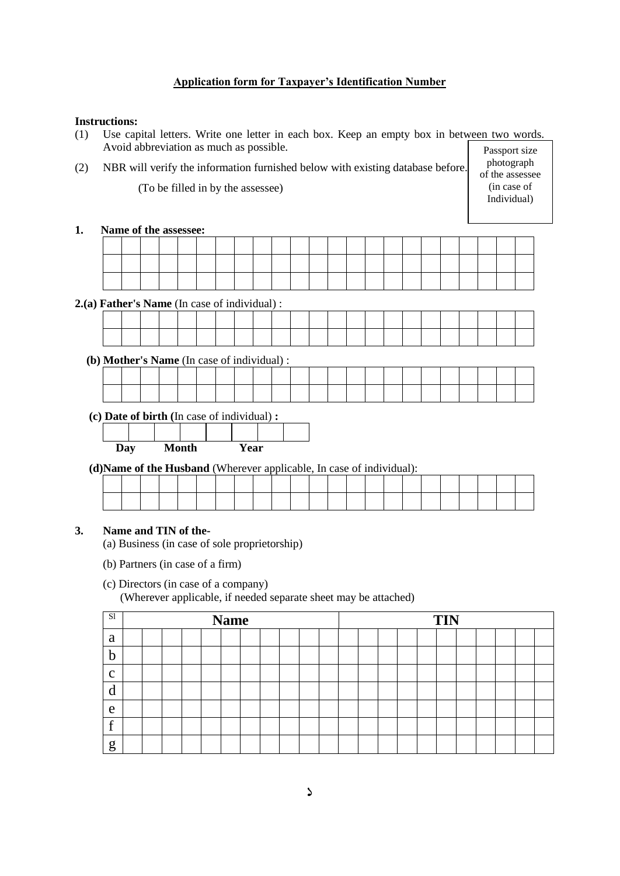# **Application form for Taxpayer's Identification Number**

### **Instructions:**

- (1) Use capital letters. Write one letter in each box. Keep an empty box in between two words. Avoid abbreviation as much as possible.
- (2) NBR will verify the information furnished below with existing database before. (To be filled in by the assessee)

Passport size photograph of the assessee (in case of Individual)

#### **1. Name of the assessee:**

**2.(a) Father's Name** (In case of individual) :

 **(b) Mother's Name** (In case of individual) :

**(c) Date of birth (**In case of individual) **:**

| Day |  | Month | Year |  |
|-----|--|-------|------|--|
|     |  |       |      |  |
|     |  |       |      |  |

**(d)Name of the Husband** (Wherever applicable, In case of individual):

|  |  |  |  |  | . . |  |  |  |  |  |  |  |
|--|--|--|--|--|-----|--|--|--|--|--|--|--|
|  |  |  |  |  |     |  |  |  |  |  |  |  |
|  |  |  |  |  |     |  |  |  |  |  |  |  |

# **3. Name and TIN of the-**

- (a) Business (in case of sole proprietorship)
- (b) Partners (in case of a firm)

# (c) Directors (in case of a company)

(Wherever applicable, if needed separate sheet may be attached)

| S1           |  |  | <b>Name</b> |  |  |  |  |  | <b>TIN</b> |  |  |  |
|--------------|--|--|-------------|--|--|--|--|--|------------|--|--|--|
| a            |  |  |             |  |  |  |  |  |            |  |  |  |
| h            |  |  |             |  |  |  |  |  |            |  |  |  |
| $\mathbf{C}$ |  |  |             |  |  |  |  |  |            |  |  |  |
| d            |  |  |             |  |  |  |  |  |            |  |  |  |
| e            |  |  |             |  |  |  |  |  |            |  |  |  |
| £            |  |  |             |  |  |  |  |  |            |  |  |  |
| g            |  |  |             |  |  |  |  |  |            |  |  |  |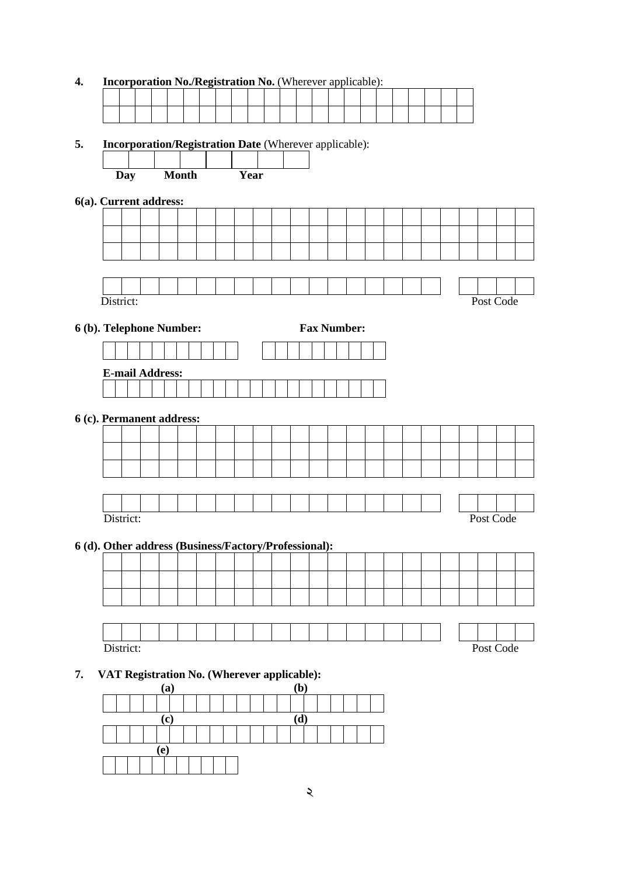# **4. Incorporation No./Registration No.** (Wherever applicable):

#### **5. Incorporation/Registration Date** (Wherever applicable):

|  | <b>Day</b> |                           | <b>Month</b> |  | Year |  |  |                    |  |  |  |           |  |
|--|------------|---------------------------|--------------|--|------|--|--|--------------------|--|--|--|-----------|--|
|  |            | 6(a). Current address:    |              |  |      |  |  |                    |  |  |  |           |  |
|  |            |                           |              |  |      |  |  |                    |  |  |  |           |  |
|  |            |                           |              |  |      |  |  |                    |  |  |  |           |  |
|  |            |                           |              |  |      |  |  |                    |  |  |  |           |  |
|  |            |                           |              |  |      |  |  |                    |  |  |  |           |  |
|  |            |                           |              |  |      |  |  |                    |  |  |  |           |  |
|  | District:  |                           |              |  |      |  |  |                    |  |  |  | Post Code |  |
|  |            | 6 (b). Telephone Number:  |              |  |      |  |  | <b>Fax Number:</b> |  |  |  |           |  |
|  |            |                           |              |  |      |  |  |                    |  |  |  |           |  |
|  |            |                           |              |  |      |  |  |                    |  |  |  |           |  |
|  |            |                           |              |  |      |  |  |                    |  |  |  |           |  |
|  |            | <b>E-mail Address:</b>    |              |  |      |  |  |                    |  |  |  |           |  |
|  |            |                           |              |  |      |  |  |                    |  |  |  |           |  |
|  |            | 6 (c). Permanent address: |              |  |      |  |  |                    |  |  |  |           |  |
|  |            |                           |              |  |      |  |  |                    |  |  |  |           |  |
|  |            |                           |              |  |      |  |  |                    |  |  |  |           |  |
|  |            |                           |              |  |      |  |  |                    |  |  |  |           |  |
|  |            |                           |              |  |      |  |  |                    |  |  |  |           |  |

# **6 (d). Other address (Business/Factory/Professional):**

District: Post Code

# **7. VAT Registration No. (Wherever applicable):**